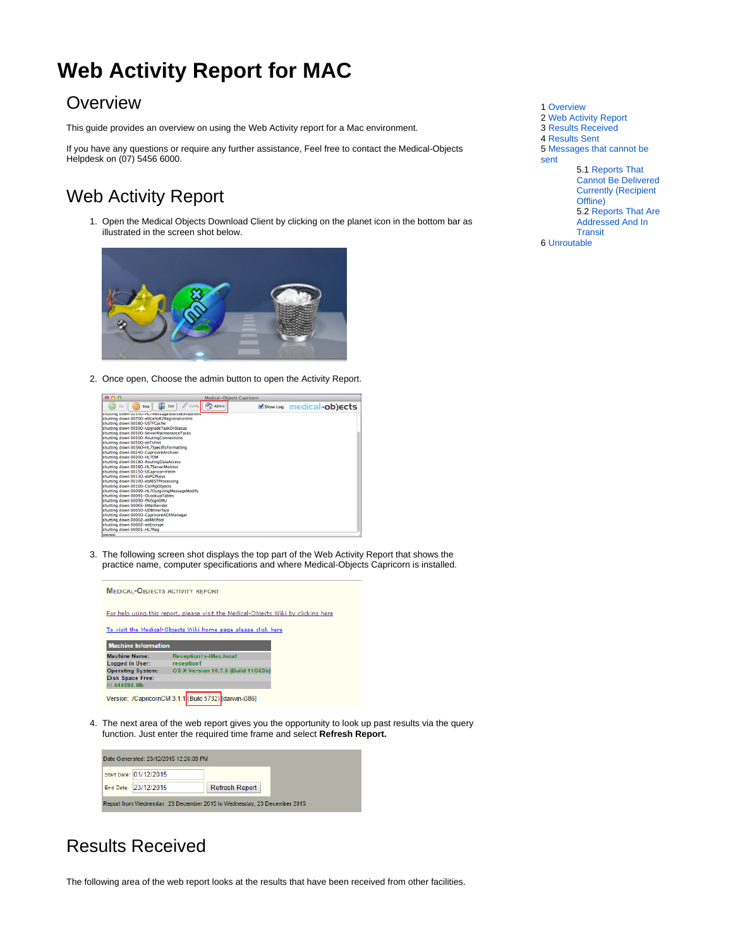# <span id="page-0-0"></span>**Web Activity Report for MAC**

#### **Overview**

This guide provides an overview on using the Web Activity report for a Mac environment.

If you have any questions or require any further assistance, Feel free to contact the Medical-Objects Helpdesk on (07) 5456 6000.

## <span id="page-0-1"></span>Web Activity Report

1. Open the Medical Objects Download Client by clicking on the planet icon in the bottom bar as illustrated in the screen shot below.



2. Once open, Choose the admin button to open the Activity Report.

| $\bullet$ $\bullet$ $\circ$                    | Medical-Objects Capricorn |                          |
|------------------------------------------------|---------------------------|--------------------------|
| ш<br>Exit<br>Confia<br>Stop<br>Go              | Admin                     | Show Log medical-objects |
| snutting down uzbou-nu/messagesourceExceptions |                           |                          |
| shutting down 00700-ebGelloR2RegistrationInit  |                           |                          |
| shutting down 00580-USTFCache                  |                           |                          |
| shutting down 00500-UpgradeTaskOnStatup        |                           |                          |
| shutting down 00500-ServerMaintenanceTasks     |                           |                          |
| shutting down 00500-RoutingConnections         |                           |                          |
| shutting down 00500-ebTslinit                  |                           |                          |
| shutting down 00360-HL7SpecificFormatting      |                           |                          |
| shutting down 00240-CapricornArchiver          |                           |                          |
| shutting down 00200-HL7DM                      |                           |                          |
| shutting down 00180-RoutingDataAccess          |                           |                          |
| shutting down 00160-HL7ServerMonitor           |                           |                          |
| shutting down 00150-UCapricornHelm             |                           |                          |
| shutting down 00130-ebPGPKeys                  |                           |                          |
| shutting down 00100-ebRESTProcessing           |                           |                          |
| shutting down 00100-ConfigObjects              |                           |                          |
| shutting down 00099-HL7OutgoingMessageModify   |                           |                          |
| shutting down 00091-DLookupTables              |                           |                          |
| shutting down 00090-PKISignORU                 |                           |                          |
| shutting down 00065-EMailSender                |                           |                          |
| shutting down 00050-UDBInterface               |                           |                          |
| shutting down 00050-CapricornACKManager        |                           |                          |
| shutting down 00002-ebMcIPool                  |                           |                          |
| shutting down 00002-ebEncrypt                  |                           |                          |
| shutting down 00001-HL7Reg                     |                           |                          |
| started.                                       |                           |                          |

3. The following screen shot displays the top part of the Web Activity Report that shows the practice name, computer specifications and where Medical-Objects Capricorn is installed.



4. The next area of the web report gives you the opportunity to look up past results via the query function. Just enter the required time frame and select **Refresh Report.**



## <span id="page-0-2"></span>Results Received

The following area of the web report looks at the results that have been received from other facilities.

- 1 [Overview](#page-0-0)
- 2 [Web Activity Report](#page-0-1)
- 3 [Results Received](#page-0-2)
- 4 [Results Sent](#page-1-0)
- 5 [Messages that cannot be](#page-1-1)

[sent](#page-1-1)

5.1 [Reports That](#page-1-2)  [Cannot Be Delivered](#page-1-2)  [Currently \(Recipient](#page-1-2)  [Offline\)](#page-1-2)

5.2 [Reports That Are](#page-2-0) 

[Addressed And In](#page-2-0)  [Transit](#page-2-0)

6 [Unroutable](#page-2-1)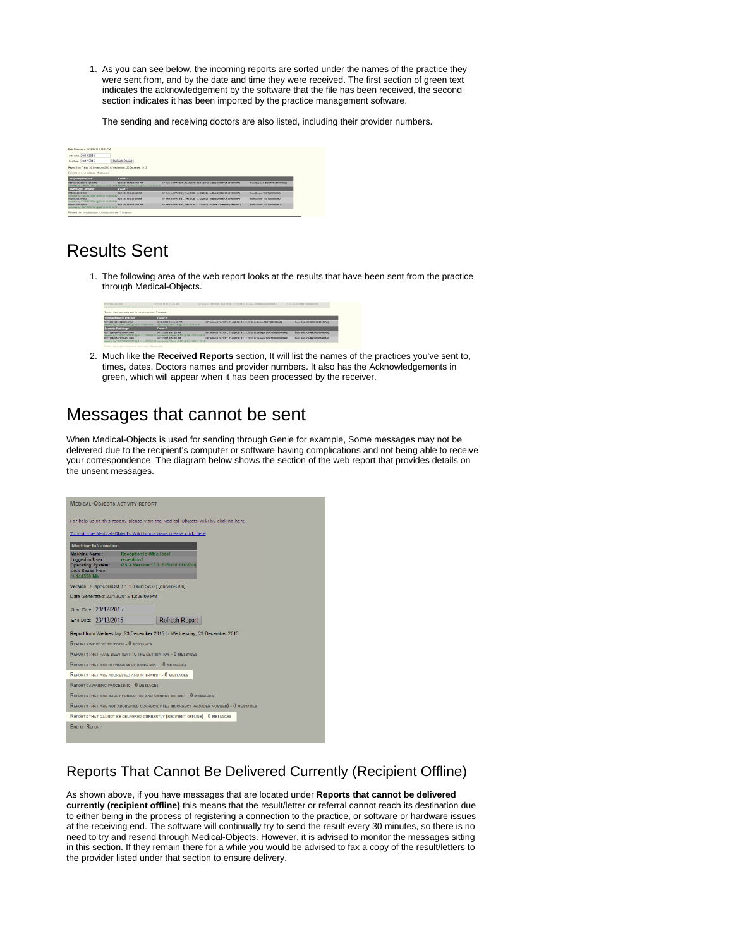1. As you can see below, the incoming reports are sorted under the names of the practice they were sent from, and by the date and time they were received. The first section of green text indicates the acknowledgement by the software that the file has been received, the second section indicates it has been imported by the practice management software.

The sending and receiving doctors are also listed, including their provider numbers.



#### <span id="page-1-0"></span>Results Sent

1. The following area of the web report looks at the results that have been sent from the practice through Medical-Objects.



2. Much like the **Received Reports** section, It will list the names of the practices you've sent to, times, dates, Doctors names and provider numbers. It also has the Acknowledgements in green, which will appear when it has been processed by the receiver.

### <span id="page-1-1"></span>Messages that cannot be sent

When Medical-Objects is used for sending through Genie for example, Some messages may not be delivered due to the recipient's computer or software having complications and not being able to receive your correspondence. The diagram below shows the section of the web report that provides details on the unsent messages.



#### <span id="page-1-2"></span>Reports That Cannot Be Delivered Currently (Recipient Offline)

As shown above, if you have messages that are located under **Reports that cannot be delivered currently (recipient offline)** this means that the result/letter or referral cannot reach its destination due to either being in the process of registering a connection to the practice, or software or hardware issues at the receiving end. The software will continually try to send the result every 30 minutes, so there is no need to try and resend through Medical-Objects. However, it is advised to monitor the messages sitting in this section. If they remain there for a while you would be advised to fax a copy of the result/letters to the provider listed under that section to ensure delivery.